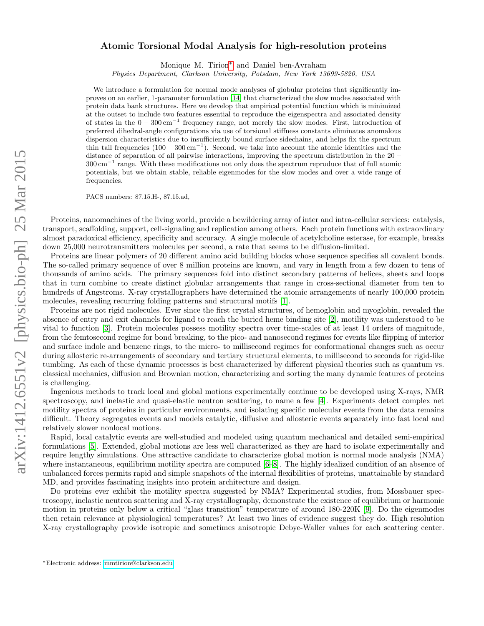## $arXiv:1412.6551v2$  [physics.bio-ph] 25 Mar 2015 arXiv:1412.6551v2 [physics.bio-ph] 25 Mar 2015

## Atomic Torsional Modal Analysis for high-resolution proteins

Monique M. Tirion[∗](#page-0-0) and Daniel ben-Avraham

Physics Department, Clarkson University, Potsdam, New York 13699-5820, USA

We introduce a formulation for normal mode analyses of globular proteins that significantly improves on an earlier, 1-parameter formulation [\[14\]](#page-8-0) that characterized the slow modes associated with protein data bank structures. Here we develop that empirical potential function which is minimized at the outset to include two features essential to reproduce the eigenspectra and associated density of states in the 0 – 300 cm<sup>−</sup><sup>1</sup> frequency range, not merely the slow modes. First, introduction of preferred dihedral-angle configurations via use of torsional stiffness constants eliminates anomalous dispersion characteristics due to insufficiently bound surface sidechains, and helps fix the spectrum thin tail frequencies  $(100 - 300 \text{ cm}^{-1})$ . Second, we take into account the atomic identities and the distance of separation of all pairwise interactions, improving the spectrum distribution in the 20 – 300 cm<sup>−</sup><sup>1</sup> range. With these modifications not only does the spectrum reproduce that of full atomic potentials, but we obtain stable, reliable eigenmodes for the slow modes and over a wide range of frequencies.

PACS numbers: 87.15.H-, 87.15.ad,

Proteins, nanomachines of the living world, provide a bewildering array of inter and intra-cellular services: catalysis, transport, scaffolding, support, cell-signaling and replication among others. Each protein functions with extraordinary almost paradoxical efficiency, specificity and accuracy. A single molecule of acetylcholine esterase, for example, breaks down 25,000 neurotransmitters molecules per second, a rate that seems to be diffusion-limited.

Proteins are linear polymers of 20 different amino acid building blocks whose sequence specifies all covalent bonds. The so-called primary sequence of over 8 million proteins are known, and vary in length from a few dozen to tens of thousands of amino acids. The primary sequences fold into distinct secondary patterns of helices, sheets and loops that in turn combine to create distinct globular arrangements that range in cross-sectional diameter from ten to hundreds of Angstroms. X-ray crystallographers have determined the atomic arrangements of nearly 100,000 protein molecules, revealing recurring folding patterns and structural motifs [\[1\]](#page-8-1).

Proteins are not rigid molecules. Ever since the first crystal structures, of hemoglobin and myoglobin, revealed the absence of entry and exit channels for ligand to reach the buried heme binding site [\[2\]](#page-8-2), motility was understood to be vital to function [\[3\]](#page-8-3). Protein molecules possess motility spectra over time-scales of at least 14 orders of magnitude, from the femtosecond regime for bond breaking, to the pico- and nanosecond regimes for events like flipping of interior and surface indole and benzene rings, to the micro- to millisecond regimes for conformational changes such as occur during allosteric re-arrangements of secondary and tertiary structural elements, to millisecond to seconds for rigid-like tumbling. As each of these dynamic processes is best characterized by different physical theories such as quantum vs. classical mechanics, diffusion and Brownian motion, characterizing and sorting the many dynamic features of proteins is challenging.

Ingenious methods to track local and global motions experimentally continue to be developed using X-rays, NMR spectroscopy, and inelastic and quasi-elastic neutron scattering, to name a few [\[4\]](#page-8-4). Experiments detect complex net motility spectra of proteins in particular environments, and isolating specific molecular events from the data remains difficult. Theory segregates events and models catalytic, diffusive and allosteric events separately into fast local and relatively slower nonlocal motions.

Rapid, local catalytic events are well-studied and modeled using quantum mechanical and detailed semi-empirical formulations [\[5\]](#page-8-5). Extended, global motions are less well characterized as they are hard to isolate experimentally and require lengthy simulations. One attractive candidate to characterize global motion is normal mode analysis (NMA) where instantaneous, equilibrium motility spectra are computed  $[6-8]$  $[6-8]$ . The highly idealized condition of an absence of unbalanced forces permits rapid and simple snapshots of the internal flexibilities of proteins, unattainable by standard MD, and provides fascinating insights into protein architecture and design.

Do proteins ever exhibit the motility spectra suggested by NMA? Experimental studies, from Mossbauer spectroscopy, inelastic neutron scattering and X-ray crystallography, demonstrate the existence of equilibrium or harmonic motion in proteins only below a critical "glass transition" temperature of around 180-220K [\[9\]](#page-8-8). Do the eigenmodes then retain relevance at physiological temperatures? At least two lines of evidence suggest they do. High resolution X-ray crystallography provide isotropic and sometimes anisotropic Debye-Waller values for each scattering center.

<span id="page-0-0"></span><sup>∗</sup>Electronic address: [mmtirion@clarkson.edu](mailto:mmtirion@clarkson.edu)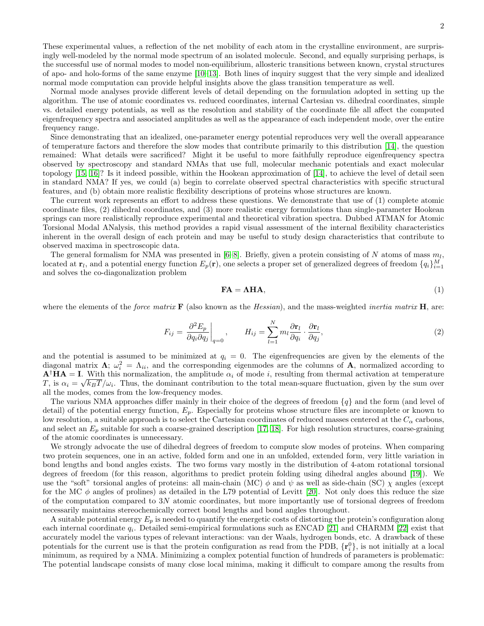These experimental values, a reflection of the net mobility of each atom in the crystalline environment, are surprisingly well-modeled by the normal mode spectrum of an isolated molecule. Second, and equally surprising perhaps, is the successful use of normal modes to model non-equilibrium, allosteric transitions between known, crystal structures of apo- and holo-forms of the same enzyme [\[10–](#page-8-9)[13\]](#page-8-10). Both lines of inquiry suggest that the very simple and idealized normal mode computation can provide helpful insights above the glass transition temperature as well.

Normal mode analyses provide different levels of detail depending on the formulation adopted in setting up the algorithm. The use of atomic coordinates vs. reduced coordinates, internal Cartesian vs. dihedral coordinates, simple vs. detailed energy potentials, as well as the resolution and stability of the coordinate file all affect the computed eigenfrequency spectra and associated amplitudes as well as the appearance of each independent mode, over the entire frequency range.

Since demonstrating that an idealized, one-parameter energy potential reproduces very well the overall appearance of temperature factors and therefore the slow modes that contribute primarily to this distribution [\[14\]](#page-8-0), the question remained: What details were sacrificed? Might it be useful to more faithfully reproduce eigenfrequency spectra observed by spectroscopy and standard NMAs that use full, molecular mechanic potentials and exact molecular topology [\[15,](#page-8-11) [16\]](#page-8-12)? Is it indeed possible, within the Hookean approximation of [\[14\]](#page-8-0), to achieve the level of detail seen in standard NMA? If yes, we could (a) begin to correlate observed spectral characteristics with specific structural features, and (b) obtain more realistic flexibility descriptions of proteins whose structures are known.

The current work represents an effort to address these questions. We demonstrate that use of (1) complete atomic coordinate files, (2) dihedral coordinates, and (3) more realistic energy formulations than single-parameter Hookean springs can more realistically reproduce experimental and theoretical vibration spectra. Dubbed ATMAN for Atomic Torsional Modal ANalysis, this method provides a rapid visual assessment of the internal flexibility characteristics inherent in the overall design of each protein and may be useful to study design characteristics that contribute to observed maxima in spectroscopic data.

The general formalism for NMA was presented in [\[6](#page-8-6)[–8\]](#page-8-7). Briefly, given a protein consisting of N atoms of mass  $m_l$ , located at  $\mathbf{r}_l$ , and a potential energy function  $E_p(\mathbf{r})$ , one selects a proper set of generalized degrees of freedom  $\{q_i\}_{i=1}^M$ and solves the co-diagonalization problem

$$
FA = AHA, \tag{1}
$$

where the elements of the *force matrix*  $\bf{F}$  (also known as the *Hessian*), and the mass-weighted *inertia matrix*  $\bf{H}$ , are:

<span id="page-1-0"></span>
$$
F_{ij} = \left. \frac{\partial^2 E_p}{\partial q_i \partial q_j} \right|_{q=0}, \qquad H_{ij} = \sum_{l=1}^N m_l \frac{\partial \mathbf{r}_l}{\partial q_i} \cdot \frac{\partial \mathbf{r}_l}{\partial q_j},\tag{2}
$$

and the potential is assumed to be minimized at  $q_i = 0$ . The eigenfrequencies are given by the elements of the diagonal matrix  $\Lambda$ ;  $\omega_i^2 = \Lambda_{ii}$ , and the corresponding eigenmodes are the columns of A, normalized according to  $\mathbf{A}^{\dagger} \mathbf{H} \mathbf{A} = \mathbf{I}$ . With this normalization, the amplitude  $\alpha_i$  of mode i, resulting from thermal activation at temperature T, is  $\alpha_i = \sqrt{k_B T/\omega_i}$ . Thus, the dominant contribution to the total mean-square fluctuation, given by the sum over all the modes, comes from the low-frequency modes.

The various NMA approaches differ mainly in their choice of the degrees of freedom  $\{q\}$  and the form (and level of detail) of the potential energy function,  $E_p$ . Especially for proteins whose structure files are incomplete or known to low resolution, a suitable approach is to select the Cartesian coordinates of reduced masses centered at the  $C_{\alpha}$  carbons, and select an  $E_p$  suitable for such a coarse-grained description [\[17,](#page-8-13) [18\]](#page-8-14). For high resolution structures, coarse-graining of the atomic coordinates is unnecessary.

We strongly advocate the use of dihedral degrees of freedom to compute slow modes of proteins. When comparing two protein sequences, one in an active, folded form and one in an unfolded, extended form, very little variation in bond lengths and bond angles exists. The two forms vary mostly in the distribution of 4-atom rotational torsional degrees of freedom (for this reason, algorithms to predict protein folding using dihedral angles abound [\[19\]](#page-8-15)). We use the "soft" torsional angles of proteins: all main-chain (MC)  $\phi$  and  $\psi$  as well as side-chain (SC)  $\chi$  angles (except for the MC  $\phi$  angles of prolines) as detailed in the L79 potential of Levitt [\[20\]](#page-8-16). Not only does this reduce the size of the computation compared to 3N atomic coordinates, but more importantly use of torsional degrees of freedom necessarily maintains stereochemically correct bond lengths and bond angles throughout.

A suitable potential energy  $E_p$  is needed to quantify the energetic costs of distorting the protein's configuration along each internal coordinate  $q_i$ . Detailed semi-empirical formulations such as ENCAD [\[21\]](#page-9-0) and CHARMM [\[22\]](#page-9-1) exist that accurately model the various types of relevant interactions: van der Waals, hydrogen bonds, etc. A drawback of these potentials for the current use is that the protein configuration as read from the PDB,  $\{r_i^0\}$ , is not initially at a local minimum, as required by a NMA. Minimizing a complex potential function of hundreds of parameters is problematic: The potential landscape consists of many close local minima, making it difficult to compare among the results from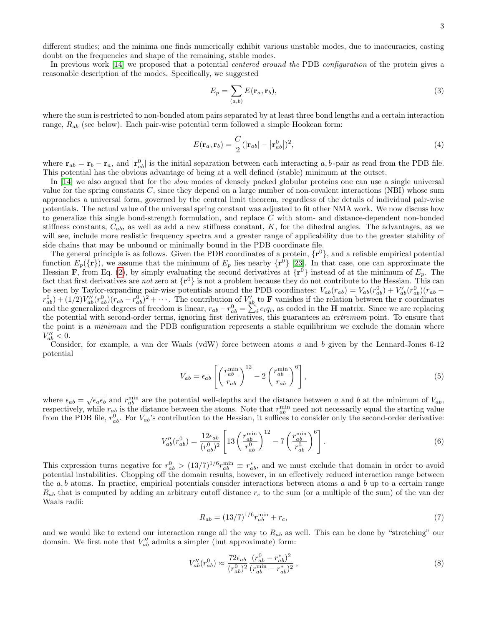different studies; and the minima one finds numerically exhibit various unstable modes, due to inaccuracies, casting doubt on the frequencies and shape of the remaining, stable modes.

In previous work [\[14\]](#page-8-0) we proposed that a potential *centered around the* PDB *configuration* of the protein gives a reasonable description of the modes. Specifically, we suggested

$$
E_p = \sum_{(a,b)} E(\mathbf{r}_a, \mathbf{r}_b),\tag{3}
$$

where the sum is restricted to non-bonded atom pairs separated by at least three bond lengths and a certain interaction range,  $R_{ab}$  (see below). Each pair-wise potential term followed a simple Hookean form:

<span id="page-2-0"></span>
$$
E(\mathbf{r}_a, \mathbf{r}_b) = \frac{C}{2} (|\mathbf{r}_{ab}| - |\mathbf{r}_{ab}^0|)^2, \tag{4}
$$

where  $\mathbf{r}_{ab} = \mathbf{r}_b - \mathbf{r}_a$ , and  $|\mathbf{r}_{ab}^0|$  is the initial separation between each interacting a, b-pair as read from the PDB file. This potential has the obvious advantage of being at a well defined (stable) minimum at the outset.

In [\[14\]](#page-8-0) we also argued that for the *slow* modes of densely packed globular proteins one can use a single universal value for the spring constants  $C$ , since they depend on a large number of non-covalent interactions (NBI) whose sum approaches a universal form, governed by the central limit theorem, regardless of the details of individual pair-wise potentials. The actual value of the universal spring constant was adjusted to fit other NMA work. We now discuss how to generalize this single bond-strength formulation, and replace C with atom- and distance-dependent non-bonded stiffness constants,  $C_{ab}$ , as well as add a new stiffness constant, K, for the dihedral angles. The advantages, as we will see, include more realistic frequency spectra and a greater range of applicability due to the greater stability of side chains that may be unbound or minimally bound in the PDB coordinate file.

The general principle is as follows. Given the PDB coordinates of a protein,  $\{r^0\}$ , and a reliable empirical potential function  $E_p(\{\mathbf{r}\})$ , we assume that the minimum of  $E_p$  lies nearby  $\{\mathbf{r}^0\}$  [\[23\]](#page-9-2). In that case, one can approximate the Hessian **F**, from Eq. [\(2\)](#page-1-0), by simply evaluating the second derivatives at  $\{r^0\}$  instead of at the minimum of  $E_p$ . The fact that first derivatives are not zero at  $\{r^0\}$  is not a problem because they do not contribute to the Hessian. This can be seen by Taylor-expanding pair-wise potentials around the PDB coordinates:  $V_{ab}(r_{ab}) = V_{ab}(r_{ab}^0) + V'_{ab}(r_{ab}^0)(r_{ab} (r_{ab}^0) + (1/2)V_{ab}''(r_{ab}^0)(r_{ab} - r_{ab}^0)^2 + \cdots$ . The contribution of  $V_{ab}'$  to **F** vanishes if the relation between the **r** coordinates and the generalized degrees of freedom is linear,  $r_{ab} - r_{ab}^0 = \sum_i^{\infty} c_i q_i$ , as coded in the **H** matrix. Since we are replacing the potential with second-order terms, ignoring first derivatives, this guarantees an *extremum* point. To ensure that the point is a minimum and the PDB configuration represents a stable equilibrium we exclude the domain where  $V''_{ab} < 0.$ 

Consider, for example, a van der Waals (vdW) force between atoms a and b given by the Lennard-Jones 6-12 potential

$$
V_{ab} = \epsilon_{ab} \left[ \left( \frac{r_{ab}^{\text{min}}}{r_{ab}} \right)^{12} - 2 \left( \frac{r_{ab}^{\text{min}}}{r_{ab}} \right)^{6} \right],\tag{5}
$$

where  $\epsilon_{ab} = \sqrt{\epsilon_a \epsilon_b}$  and  $r_{ab}^{\min}$  are the potential well-depths and the distance between a and b at the minimum of  $V_{ab}$ , respectively, while  $r_{ab}$  is the distance between the atoms. Note that  $r_{ab}^{\min}$  need not necessarily equal the starting value from the PDB file,  $r_{ab}^0$ . For  $V_{ab}$ 's contribution to the Hessian, it suffices to consider only the second-order derivative:

<span id="page-2-1"></span>
$$
V_{ab}''(r_{ab}^0) = \frac{12\epsilon_{ab}}{(r_{ab}^0)^2} \left[ 13 \left( \frac{r_{ab}^{\min}}{r_{ab}^0} \right)^{12} - 7 \left( \frac{r_{ab}^{\min}}{r_{ab}^0} \right)^6 \right].
$$
 (6)

This expression turns negative for  $r_{ab}^0 > (13/7)^{1/6} r_{ab}^{\min} \equiv r_{ab}^*$ , and we must exclude that domain in order to avoid potential instabilities. Chopping off the domain results, however, in an effectively reduced interaction range between the  $a, b$  atoms. In practice, empirical potentials consider interactions between atoms  $a$  and  $b$  up to a certain range  $R_{ab}$  that is computed by adding an arbitrary cutoff distance  $r_c$  to the sum (or a multiple of the sum) of the van der Waals radii:

<span id="page-2-3"></span>
$$
R_{ab} = (13/7)^{1/6} r_{ab}^{\min} + r_c,
$$
\n(7)

and we would like to extend our interaction range all the way to  $R_{ab}$  as well. This can be done by "stretching" our domain. We first note that  $V''_{ab}$  admits a simpler (but approximate) form:

<span id="page-2-2"></span>
$$
V_{ab}''(r_{ab}^0) \approx \frac{72\epsilon_{ab}}{(r_{ab}^0)^2} \frac{(r_{ab}^0 - r_{ab}^*)^2}{(r_{ab}^{\min} - r_{ab}^*)^2},\tag{8}
$$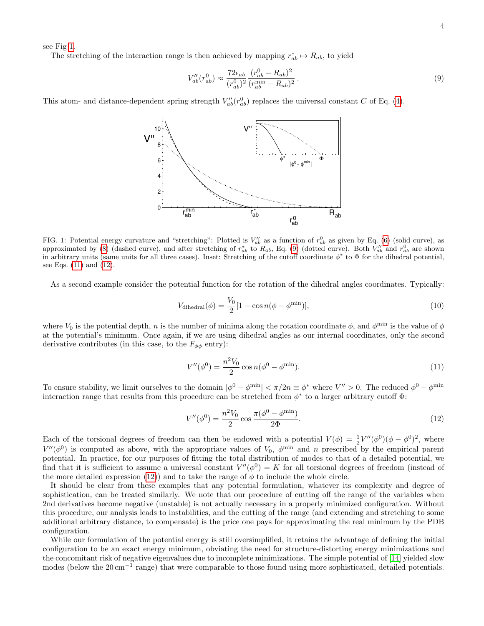see Fig [1.](#page-3-0)

The stretching of the interaction range is then achieved by mapping  $r_{ab}^* \mapsto R_{ab}$ , to yield

<span id="page-3-1"></span>
$$
V_{ab}''(r_{ab}^0) \approx \frac{72\epsilon_{ab}}{(r_{ab}^0)^2} \frac{(r_{ab}^0 - R_{ab})^2}{(r_{ab}^{\min} - R_{ab})^2} \,. \tag{9}
$$

This atom- and distance-dependent spring strength  $V''_{ab}(r^0_{ab})$  replaces the universal constant C of Eq. [\(4\)](#page-2-0).



<span id="page-3-0"></span>FIG. 1: Potential energy curvature and "stretching": Plotted is  $V''_{ab}$  as a function of  $r^0_{ab}$  as given by Eq. [\(6\)](#page-2-1) (solid curve), as approximated by [\(8\)](#page-2-2) (dashed curve), and after stretching of  $r_{ab}^*$  to  $R_{ab}$ , Eq. [\(9\)](#page-3-1) (dotted curve). Both  $\bar{V}_{ab}''$  and  $r_{ab}^0$  are shown in arbitrary units (same units for all three cases). Inset: Stretching of the cutoff coordinate  $\phi^*$  to  $\Phi$  for the dihedral potential, see Eqs. [\(11\)](#page-3-2) and [\(12\)](#page-3-3).

As a second example consider the potential function for the rotation of the dihedral angles coordinates. Typically:

$$
V_{\text{dihedral}}(\phi) = \frac{V_0}{2} [1 - \cos n(\phi - \phi^{\text{min}})],\tag{10}
$$

where  $V_0$  is the potential depth, n is the number of minima along the rotation coordinate  $\phi$ , and  $\phi^{\min}$  is the value of  $\phi$ at the potential's minimum. Once again, if we are using dihedral angles as our internal coordinates, only the second derivative contributes (in this case, to the  $F_{\phi\phi}$  entry):

<span id="page-3-2"></span>
$$
V''(\phi^0) = \frac{n^2 V_0}{2} \cos n(\phi^0 - \phi^{\text{min}}). \tag{11}
$$

To ensure stability, we limit ourselves to the domain  $|\phi^0 - \phi^{\min}| < \pi/2n \equiv \phi^*$  where  $V'' > 0$ . The reduced  $\phi^0 - \phi^{\min}$ interaction range that results from this procedure can be stretched from  $\phi^*$  to a larger arbitrary cutoff  $\Phi$ :

<span id="page-3-3"></span>
$$
V''(\phi^0) = \frac{n^2 V_0}{2} \cos \frac{\pi (\phi^0 - \phi^{\text{min}})}{2\Phi}.
$$
\n(12)

Each of the torsional degrees of freedom can then be endowed with a potential  $V(\phi) = \frac{1}{2}V''(\phi^0)(\phi - \phi^0)^2$ , where  $V''(\phi^0)$  is computed as above, with the appropriate values of  $V_0$ ,  $\phi^{\min}$  and n prescribed by the empirical parent potential. In practice, for our purposes of fitting the total distribution of modes to that of a detailed potential, we find that it is sufficient to assume a universal constant  $V''(\phi^0) = K$  for all torsional degrees of freedom (instead of the more detailed expression [\(12\)](#page-3-3)) and to take the range of  $\phi$  to include the whole circle.

It should be clear from these examples that any potential formulation, whatever its complexity and degree of sophistication, can be treated similarly. We note that our procedure of cutting off the range of the variables when 2nd derivatives become negative (unstable) is not actually necessary in a properly minimized configuration. Without this procedure, our analysis leads to instabilities, and the cutting of the range (and extending and stretching to some additional arbitrary distance, to compensate) is the price one pays for approximating the real minimum by the PDB configuration.

While our formulation of the potential energy is still oversimplified, it retains the advantage of defining the initial configuration to be an exact energy minimum, obviating the need for structure-distorting energy minimizations and the concomitant risk of negative eigenvalues due to incomplete minimizations. The simple potential of [\[14\]](#page-8-0) yielded slow modes (below the 20 cm<sup>-1</sup> range) that were comparable to those found using more sophisticated, detailed potentials.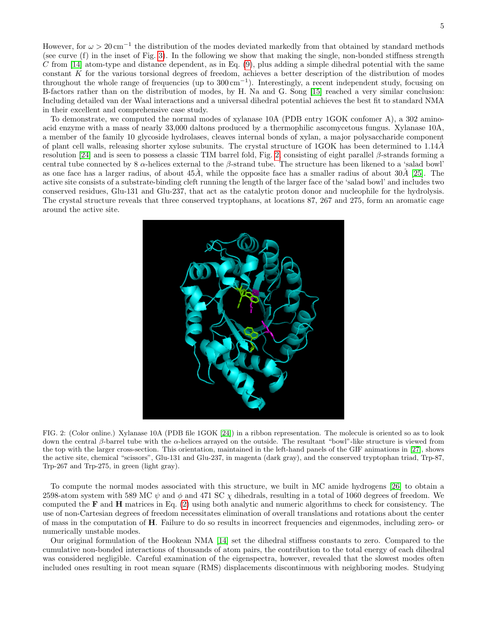However, for  $\omega > 20 \,\mathrm{cm}^{-1}$  the distribution of the modes deviated markedly from that obtained by standard methods (see curve (f) in the inset of Fig. [3\)](#page-6-0). In the following we show that making the single, non-bonded stiffness strength C from [\[14\]](#page-8-0) atom-type and distance dependent, as in Eq.  $(9)$ , plus adding a simple dihedral potential with the same constant  $K$  for the various torsional degrees of freedom, achieves a better description of the distribution of modes throughout the whole range of frequencies (up to 300 cm−<sup>1</sup> ). Interestingly, a recent independent study, focusing on B-factors rather than on the distribution of modes, by H. Na and G. Song [\[15\]](#page-8-11) reached a very similar conclusion: Including detailed van der Waal interactions and a universal dihedral potential achieves the best fit to standard NMA in their excellent and comprehensive case study.

To demonstrate, we computed the normal modes of xylanase 10A (PDB entry 1GOK confomer A), a 302 aminoacid enzyme with a mass of nearly 33,000 daltons produced by a thermophilic ascomycetous fungus. Xylanase 10A, a member of the family 10 glycoside hydrolases, cleaves internal bonds of xylan, a major polysaccharide component of plant cell walls, releasing shorter xylose subunits. The crystal structure of 1GOK has been determined to 1.14˚A resolution [\[24\]](#page-9-3) and is seen to possess a classic TIM barrel fold, Fig. [2,](#page-4-0) consisting of eight parallel β-strands forming a central tube connected by 8  $\alpha$ -helices external to the  $\beta$ -strand tube. The structure has been likened to a 'salad bowl' as one face has a larger radius, of about  $45\AA$ , while the opposite face has a smaller radius of about  $30\AA$  [\[25\]](#page-9-4). The active site consists of a substrate-binding cleft running the length of the larger face of the 'salad bowl' and includes two conserved residues, Glu-131 and Glu-237, that act as the catalytic proton donor and nucleophile for the hydrolysis. The crystal structure reveals that three conserved tryptophans, at locations 87, 267 and 275, form an aromatic cage around the active site.



<span id="page-4-0"></span>FIG. 2: (Color online.) Xylanase 10A (PDB file 1GOK [\[24\]](#page-9-3)) in a ribbon representation. The molecule is oriented so as to look down the central β-barrel tube with the α-helices arrayed on the outside. The resultant "bowl"-like structure is viewed from the top with the larger cross-section. This orientation, maintained in the left-hand panels of the GIF animations in [\[27\]](#page-9-5), shows the active site, chemical "scissors", Glu-131 and Glu-237, in magenta (dark gray), and the conserved tryptophan triad, Trp-87, Trp-267 and Trp-275, in green (light gray).

To compute the normal modes associated with this structure, we built in MC amide hydrogens [\[26\]](#page-9-6) to obtain a 2598-atom system with 589 MC  $\psi$  and  $\phi$  and 471 SC  $\chi$  dihedrals, resulting in a total of 1060 degrees of freedom. We computed the  **and**  $**H**$  **matrices in Eq. [\(2\)](#page-1-0) using both analytic and numeric algorithms to check for consistency. The** use of non-Cartesian degrees of freedom necessitates elimination of overall translations and rotations about the center of mass in the computation of H. Failure to do so results in incorrect frequencies and eigenmodes, including zero- or numerically unstable modes.

Our original formulation of the Hookean NMA [\[14\]](#page-8-0) set the dihedral stiffness constants to zero. Compared to the cumulative non-bonded interactions of thousands of atom pairs, the contribution to the total energy of each dihedral was considered negligible. Careful examination of the eigenspectra, however, revealed that the slowest modes often included ones resulting in root mean square (RMS) displacements discontinuous with neighboring modes. Studying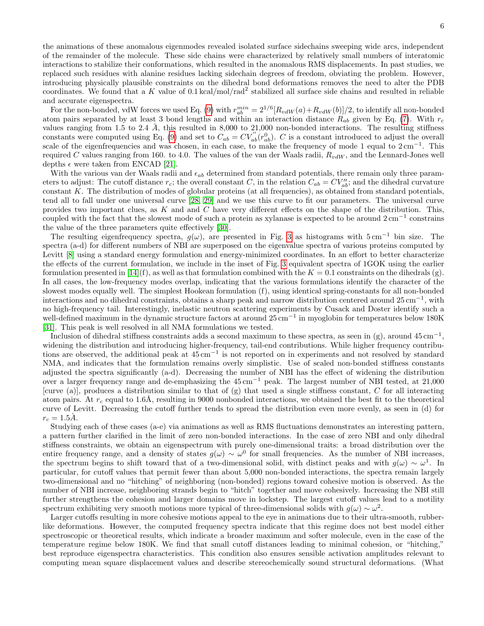the animations of these anomalous eigenmodes revealed isolated surface sidechains sweeping wide arcs, independent of the remainder of the molecule. These side chains were characterized by relatively small numbers of interatomic interactions to stabilize their conformations, which resulted in the anomalous RMS displacements. In past studies, we replaced such residues with alanine residues lacking sidechain degrees of freedom, obviating the problem. However, introducing physically plausible constraints on the dihedral bond deformations removes the need to alter the PDB coordinates. We found that a K value of  $0.1 \text{ kcal/mol/rad}^2$  stabilized all surface side chains and resulted in reliable and accurate eigenspectra.

For the non-bonded, vdW forces we used Eq. [\(9\)](#page-3-1) with  $r_{ab}^{min} = 2^{1/6} [R_{vdW}(a) + R_{vdW}(b)]/2$ , to identify all non-bonded atom pairs separated by at least 3 bond lengths and within an interaction distance  $R_{ab}$  given by Eq. [\(7\)](#page-2-3). With  $r_c$ values ranging from 1.5 to 2.4  $Å$ , this resulted in 8,000 to 21,000 non-bonded interactions. The resulting stiffness constants were computed using Eq. [\(9\)](#page-3-1) and set to  $C_{ab} = CV_{ab}^{''}(r_{ab}^0)$ . C is a constant introduced to adjust the overall scale of the eigenfrequencies and was chosen, in each case, to make the frequency of mode 1 equal to  $2 \text{ cm}^{-1}$ . This required C values ranging from 160. to 4.0. The values of the van der Waals radii,  $R_{vdW}$ , and the Lennard-Jones well depths  $\epsilon$  were taken from ENCAD [\[21\]](#page-9-0).

With the various van der Waals radii and  $\epsilon_{ab}$  determined from standard potentials, there remain only three parameters to adjust: The cutoff distance  $r_c$ ; the overall constant C, in the relation  $C_{ab} = CV''_{ab}$ ; and the dihedral curvature constant K. The distribution of modes of globular proteins (at all frequencies), as obtained from standard potentials, tend all to fall under one universal curve [\[28,](#page-9-7) [29\]](#page-9-8) and we use this curve to fit our parameters. The universal curve provides two important clues, as K and and C have very different effects on the shape of the distribution. This, coupled with the fact that the slowest mode of such a protein as xylanase is expected to be around  $2 \text{ cm}^{-1}$  constrains the value of the three parameters quite effectively [\[30\]](#page-9-9).

The resulting eigenfrequency spectra,  $g(\omega)$ , are presented in Fig. [3](#page-6-0) as histograms with  $5 \text{ cm}^{-1}$  bin size. The spectra (a-d) for different numbers of NBI are superposed on the eigenvalue spectra of various proteins computed by Levitt [\[8\]](#page-8-7) using a standard energy formulation and energy-minimized coordinates. In an effort to better characterize the effects of the current formulation, we include in the inset of Fig. [3](#page-6-0) equivalent spectra of 1GOK using the earlier formulation presented in [\[14\]](#page-8-0)(f), as well as that formulation combined with the  $K = 0.1$  constraints on the dihedrals (g). In all cases, the low-frequency modes overlap, indicating that the various formulations identify the character of the slowest modes equally well. The simplest Hookean formulation (f), using identical spring-constants for all non-bonded interactions and no dihedral constraints, obtains a sharp peak and narrow distribution centered around  $25 \text{ cm}^{-1}$ , with no high-frequency tail. Interestingly, inelastic neutron scattering experiments by Cusack and Doster identify such a well-defined maximum in the dynamic structure factors at around 25 cm<sup>-1</sup> in myoglobin for temperatures below 180K [\[31\]](#page-9-10). This peak is well resolved in all NMA formulations we tested.

Inclusion of dihedral stiffness constraints adds a second maximum to these spectra, as seen in (g), around  $45 \text{ cm}^{-1}$ , widening the distribution and introducing higher-frequency, tail-end contributions. While higher frequency contributions are observed, the additional peak at 45 cm<sup>−</sup><sup>1</sup> is not reported on in experiments and not resolved by standard NMA, and indicates that the formulation remains overly simplistic. Use of scaled non-bonded stiffness constants adjusted the spectra significantly (a-d). Decreasing the number of NBI has the effect of widening the distribution over a larger frequency range and de-emphasizing the 45 cm<sup>−</sup><sup>1</sup> peak. The largest number of NBI tested, at 21,000 [curve (a)], produces a distribution similar to that of (g) that used a single stiffness constant, C for all interacting atom pairs. At  $r_c$  equal to 1.6Å, resulting in 9000 nonbonded interactions, we obtained the best fit to the theoretical curve of Levitt. Decreasing the cutoff further tends to spread the distribution even more evenly, as seen in (d) for  $r_c = 1.5\AA.$ 

Studying each of these cases (a-e) via animations as well as RMS fluctuations demonstrates an interesting pattern, a pattern further clarified in the limit of zero non-bonded interactions. In the case of zero NBI and only dihedral stiffness constraints, we obtain an eigenspectrum with purely one-dimensional traits: a broad distribution over the entire frequency range, and a density of states  $g(\omega) \sim \omega^0$  for small frequencies. As the number of NBI increases, the spectrum begins to shift toward that of a two-dimensional solid, with distinct peaks and with  $g(\omega) \sim \omega^1$ . In particular, for cutoff values that permit fewer than about 5,000 non-bonded interactions, the spectra remain largely two-dimensional and no "hitching" of neighboring (non-bonded) regions toward cohesive motion is observed. As the number of NBI increase, neighboring strands begin to "hitch" together and move cohesively. Increasing the NBI still further strengthens the cohesion and larger domains move in lockstep. The largest cutoff values lead to a motility spectrum exhibiting very smooth motions more typical of three-dimensional solids with  $g(\omega) \sim \omega^2$ .

Larger cutoffs resulting in more cohesive motions appeal to the eye in animations due to their ultra-smooth, rubberlike deformations. However, the computed frequency spectra indicate that this regime does not best model either spectroscopic or theoretical results, which indicate a broader maximum and softer molecule, even in the case of the temperature regime below 180K. We find that small cutoff distances leading to minimal cohesion, or "hitching," best reproduce eigenspectra characteristics. This condition also ensures sensible activation amplitudes relevant to computing mean square displacement values and describe stereochemically sound structural deformations. (What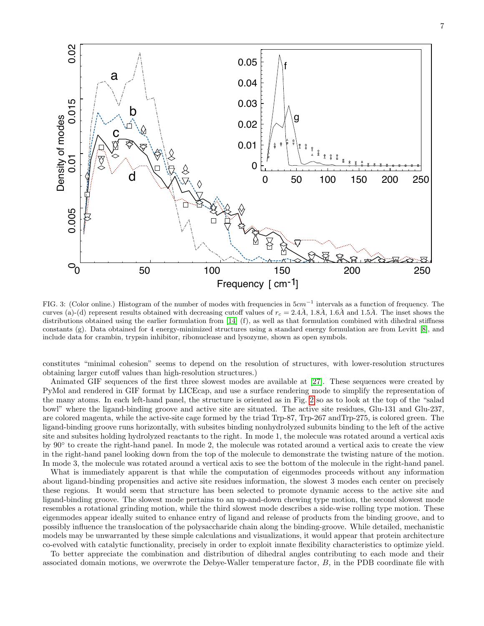

<span id="page-6-0"></span>FIG. 3: (Color online.) Histogram of the number of modes with frequencies in  $5cm^{-1}$  intervals as a function of frequency. The curves (a)-(d) represent results obtained with decreasing cutoff values of  $r_c = 2.4\AA$ , 1.8Å, 1.6Å and 1.5Å. The inset shows the distributions obtained using the earlier formulation from [\[14\]](#page-8-0) (f), as well as that formulation combined with dihedral stiffness constants (g). Data obtained for 4 energy-minimized structures using a standard energy formulation are from Levitt [\[8\]](#page-8-7), and include data for crambin, trypsin inhibitor, ribonuclease and lysozyme, shown as open symbols.

constitutes "minimal cohesion" seems to depend on the resolution of structures, with lower-resolution structures obtaining larger cutoff values than high-resolution structures.)

Animated GIF sequences of the first three slowest modes are available at [\[27\]](#page-9-5). These sequences were created by PyMol and rendered in GIF format by LICEcap, and use a surface rendering mode to simplify the representation of the many atoms. In each left-hand panel, the structure is oriented as in Fig. [2](#page-4-0) so as to look at the top of the "salad bowl" where the ligand-binding groove and active site are situated. The active site residues, Glu-131 and Glu-237, are colored magenta, while the active-site cage formed by the triad Trp-87, Trp-267 andTrp-275, is colored green. The ligand-binding groove runs horizontally, with subsites binding nonhydrolyzed subunits binding to the left of the active site and subsites holding hydrolyzed reactants to the right. In mode 1, the molecule was rotated around a vertical axis by 90<sup>°</sup> to create the right-hand panel. In mode 2, the molecule was rotated around a vertical axis to create the view in the right-hand panel looking down from the top of the molecule to demonstrate the twisting nature of the motion. In mode 3, the molecule was rotated around a vertical axis to see the bottom of the molecule in the right-hand panel.

What is immediately apparent is that while the computation of eigenmodes proceeds without any information about ligand-binding propensities and active site residues information, the slowest 3 modes each center on precisely these regions. It would seem that structure has been selected to promote dynamic access to the active site and ligand-binding groove. The slowest mode pertains to an up-and-down chewing type motion, the second slowest mode resembles a rotational grinding motion, while the third slowest mode describes a side-wise rolling type motion. These eigenmodes appear ideally suited to enhance entry of ligand and release of products from the binding groove, and to possibly influence the translocation of the polysaccharide chain along the binding-groove. While detailed, mechanistic models may be unwarranted by these simple calculations and visualizations, it would appear that protein architecture co-evolved with catalytic functionality, precisely in order to exploit innate flexibility characteristics to optimize yield.

To better appreciate the combination and distribution of dihedral angles contributing to each mode and their associated domain motions, we overwrote the Debye-Waller temperature factor, B, in the PDB coordinate file with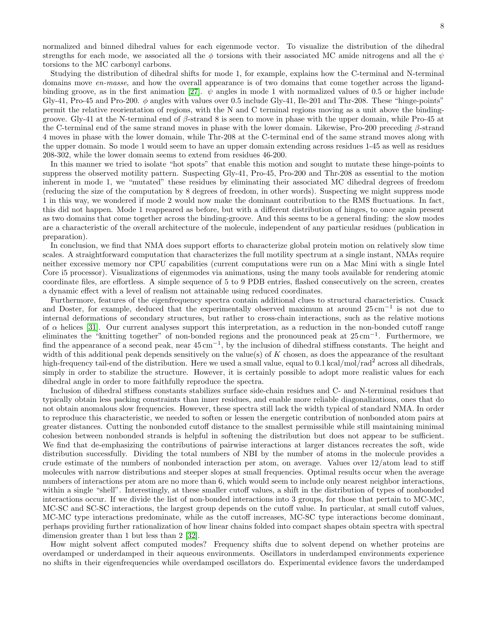normalized and binned dihedral values for each eigenmode vector. To visualize the distribution of the dihedral strengths for each mode, we associated all the  $\phi$  torsions with their associated MC amide nitrogens and all the  $\psi$ torsions to the MC carbonyl carbons.

Studying the distribution of dihedral shifts for mode 1, for example, explains how the C-terminal and N-terminal domains move en-masse, and how the overall appearance is of two domains that come together across the ligand-binding groove, as in the first animation [\[27\]](#page-9-5).  $\psi$  angles in mode 1 with normalized values of 0.5 or higher include Gly-41, Pro-45 and Pro-200.  $\phi$  angles with values over 0.5 include Gly-41, Ile-201 and Thr-208. These "hinge-points" permit the relative reorientation of regions, with the N and C terminal regions moving as a unit above the bindinggroove. Gly-41 at the N-terminal end of  $\beta$ -strand 8 is seen to move in phase with the upper domain, while Pro-45 at the C-terminal end of the same strand moves in phase with the lower domain. Likewise, Pro-200 preceding  $\beta$ -strand 4 moves in phase with the lower domain, while Thr-208 at the C-terminal end of the same strand moves along with the upper domain. So mode 1 would seem to have an upper domain extending across residues 1-45 as well as residues 208-302, while the lower domain seems to extend from residues 46-200.

In this manner we tried to isolate "hot spots" that enable this motion and sought to mutate these hinge-points to suppress the observed motility pattern. Suspecting Gly-41, Pro-45, Pro-200 and Thr-208 as essential to the motion inherent in mode 1, we "mutated" these residues by eliminating their associated MC dihedral degrees of freedom (reducing the size of the computation by 8 degrees of freedom, in other words). Suspecting we might suppress mode 1 in this way, we wondered if mode 2 would now make the dominant contribution to the RMS fluctuations. In fact, this did not happen. Mode 1 reappeared as before, but with a different distribution of hinges, to once again present as two domains that come together across the binding-groove. And this seems to be a general finding: the slow modes are a characteristic of the overall architecture of the molecule, independent of any particular residues (publication in preparation).

In conclusion, we find that NMA does support efforts to characterize global protein motion on relatively slow time scales. A straightforward computation that characterizes the full motility spectrum at a single instant, NMAs require neither excessive memory nor CPU capabilities (current computations were run on a Mac Mini with a single Intel Core i5 processor). Visualizations of eigenmodes via animations, using the many tools available for rendering atomic coordinate files, are effortless. A simple sequence of 5 to 9 PDB entries, flashed consecutively on the screen, creates a dynamic effect with a level of realism not attainable using reduced coordinates.

Furthermore, features of the eigenfrequency spectra contain additional clues to structural characteristics. Cusack and Doster, for example, deduced that the experimentally observed maximum at around 25 cm<sup>−</sup><sup>1</sup> is not due to internal deformations of secondary structures, but rather to cross-chain interactions, such as the relative motions of  $\alpha$  helices [\[31\]](#page-9-10). Our current analyses support this interpretation, as a reduction in the non-bonded cutoff range eliminates the "knitting together" of non-bonded regions and the pronounced peak at 25 cm<sup>-1</sup>. Furthermore, we find the appearance of a second peak, near  $45 \text{ cm}^{-1}$ , by the inclusion of dihedral stiffness constants. The height and width of this additional peak depends sensitively on the value(s) of  $K$  chosen, as does the appearance of the resultant high-frequency tail-end of the distribution. Here we used a small value, equal to 0.1 kcal/mol/rad<sup>2</sup> across all dihedrals, simply in order to stabilize the structure. However, it is certainly possible to adopt more realistic values for each dihedral angle in order to more faithfully reproduce the spectra.

Inclusion of dihedral stiffness constants stabilizes surface side-chain residues and C- and N-terminal residues that typically obtain less packing constraints than inner residues, and enable more reliable diagonalizations, ones that do not obtain anomalous slow frequencies. However, these spectra still lack the width typical of standard NMA. In order to reproduce this characteristic, we needed to soften or lessen the energetic contribution of nonbonded atom pairs at greater distances. Cutting the nonbonded cutoff distance to the smallest permissible while still maintaining minimal cohesion between nonbonded strands is helpful in softening the distribution but does not appear to be sufficient. We find that de-emphasizing the contributions of pairwise interactions at larger distances recreates the soft, wide distribution successfully. Dividing the total numbers of NBI by the number of atoms in the molecule provides a crude estimate of the numbers of nonbonded interaction per atom, on average. Values over 12/atom lead to stiff molecules with narrow distributions and steeper slopes at small frequencies. Optimal results occur when the average numbers of interactions per atom are no more than 6, which would seem to include only nearest neighbor interactions, within a single "shell". Interestingly, at these smaller cutoff values, a shift in the distribution of types of nonbonded interactions occur. If we divide the list of non-bonded interactions into 3 groups, for those that pertain to MC-MC, MC-SC and SC-SC interactions, the largest group depends on the cutoff value. In particular, at small cutoff values, MC-MC type interactions predominate, while as the cutoff increases, MC-SC type interactions become dominant, perhaps providing further rationalization of how linear chains folded into compact shapes obtain spectra with spectral dimension greater than 1 but less than 2 [\[32\]](#page-9-11).

How might solvent affect computed modes? Frequency shifts due to solvent depend on whether proteins are overdamped or underdamped in their aqueous environments. Oscillators in underdamped environments experience no shifts in their eigenfrequencies while overdamped oscillators do. Experimental evidence favors the underdamped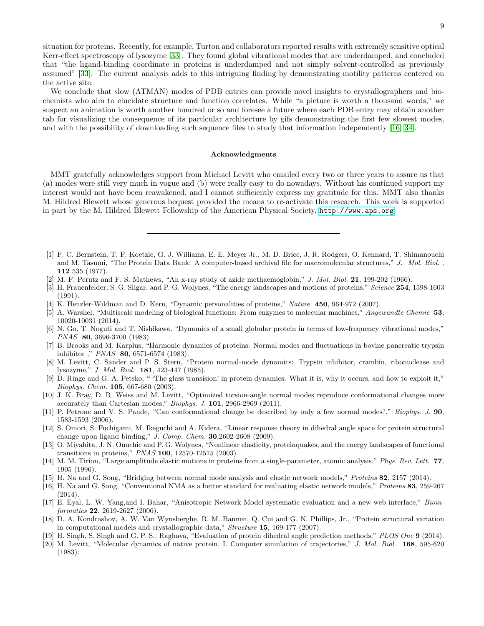situation for proteins. Recently, for example, Turton and collaborators reported results with extremely sensitive optical Kerr-effect spectroscopy of lysozyme [\[33\]](#page-9-12). They found global vibrational modes that are underdamped, and concluded that "the ligand-binding coordinate in proteins is underdamped and not simply solvent-controlled as previously assumed" [\[33\]](#page-9-12). The current analysis adds to this intriguing finding by demonstrating motility patterns centered on the active site.

We conclude that slow (ATMAN) modes of PDB entries can provide novel insights to crystallographers and biochemists who aim to elucidate structure and function correlates. While "a picture is worth a thousand words," we suspect an animation is worth another hundred or so and foresee a future where each PDB entry may obtain another tab for visualizing the consequence of its particular architecture by gifs demonstrating the first few slowest modes, and with the possibility of downloading such sequence files to study that information independently [\[16,](#page-8-12) [34\]](#page-9-13).

## Acknowledgments

MMT gratefully acknowledges support from Michael Levitt who emailed every two or three years to assure us that (a) modes were still very much in vogue and (b) were really easy to do nowadays. Without his continued support my interest would not have been reawakened, and I cannot sufficiently express my gratitude for this. MMT also thanks M. Hildred Blewett whose generous bequest provided the means to re-activate this research. This work is supported in part by the M. Hildred Blewett Fellowship of the American Physical Society, <http://www.aps.org>.

- <span id="page-8-1"></span>[1] F. C. Bernstein, T. F. Koetzle, G. J. Williams, E. E. Meyer Jr., M. D. Brice, J. R. Rodgers, O. Kennard, T. Shimanouchi and M. Tasumi, "The Protein Data Bank: A computer-based archival file for macromolecular structures," J. Mol. Biol., 112 535 (1977).
- <span id="page-8-2"></span> $[2]$  M. F. Perutz and F. S. Mathews, "An x-ray study of azide methaemoglobin," J. Mol. Biol. 21, 199-202 (1966).
- <span id="page-8-3"></span>[3] H. Frauenfelder, S. G. Sligar, and P. G. Wolynes, "The energy landscapes and motions of proteins," Science 254, 1598-1603 (1991).
- <span id="page-8-4"></span>[4] K. Henzler-Wildman and D. Kern, "Dynamic personalities of proteins," Nature 450, 964-972 (2007).
- <span id="page-8-5"></span>[5] A. Warshel, "Multiscale modeling of biological functions: From enzymes to molecular machines," Angewandte Chemie 53, 10020-10031 (2014).
- <span id="page-8-6"></span>[6] N. Go, T. Noguti and T. Nishikawa, "Dynamics of a small globular protein in terms of low-frequency vibrational modes," PNAS 80, 3696-3700 (1983).
- [7] B. Brooks and M. Karplus, "Harmonic dynamics of proteins: Normal modes and fluctuations in bovine pancreatic trypsin inhibitor ," PNAS 80, 6571-6574 (1983).
- <span id="page-8-7"></span>[8] M. Levitt, C. Sander and P. S. Stern, "Protein normal-mode dynamics: Trypsin inhibitor, crambin, ribonuclease and lysozyme," J. Mol. Biol. 181, 423-447 (1985).
- <span id="page-8-8"></span>[9] D. Ringe and G. A. Petsko, " 'The glass transision' in protein dynamics: What it is, why it occurs, and how to exploit it," Biophys. Chem. 105, 667-680 (2003).
- <span id="page-8-9"></span>[10] J. K. Bray, D. R. Weiss and M. Levitt, "Optimized torsion-angle normal modes reproduce conformational changes more accurately than Cartesian modes," Biophys. J. 101, 2966-2969 (2011).
- [11] P. Petrone and V. S. Pande, "Can conformational change be described by only a few normal modes?," Biophys. J. 90, 1583-1593 (2006).
- [12] S. Omori, S. Fuchigami, M. Ikeguchi and A. Kidera, "Linear response theory in dihedral angle space for protein structural change upon ligand binding," J. Comp. Chem. 30,2602-2608 (2009).
- <span id="page-8-10"></span>[13] O. Miyahita, J. N. Onuchic and P. G. Wolynes, "Nonlinear elasticity, proteinquakes, and the energy landscapes of functional transitions in proteins," PNAS 100, 12570-12575 (2003).
- <span id="page-8-0"></span>[14] M. M. Tirion, "Large amplitude elastic motions in proteins from a single-parameter, atomic analysis," Phys. Rev. Lett. 77, 1905 (1996).
- <span id="page-8-11"></span>[15] H. Na and G. Song, "Bridging between normal mode analysis and elastic network models," Proteins 82, 2157 (2014).
- <span id="page-8-12"></span>[16] H. Na and G. Song, "Conventional NMA as a better standard for evaluating elastic network models," Proteins 83, 259-267 (2014).
- <span id="page-8-13"></span>[17] E. Eyal, L. W. Yang,and I. Bahar, "Anisotropic Network Model systematic evaluation and a new web interface," Bioinformatics 22, 2619-2627 (2006).
- <span id="page-8-14"></span>[18] D. A. Kondrashov, A. W. Van Wynsberghe, R. M. Bannen, Q. Cui and G. N. Phillips, Jr., "Protein structural variation in computational models and crystallographic data," Structure 15, 169-177 (2007).
- <span id="page-8-15"></span>[19] H. Singh, S. Singh and G. P. S.. Raghava, "Evaluation of protein dihedral angle prediction methods," PLOS One 9 (2014).
- <span id="page-8-16"></span>[20] M. Levitt, "Molecular dynamics of native protein. I. Computer simulation of trajectories," J. Mol. Biol. 168, 595-620 (1983).